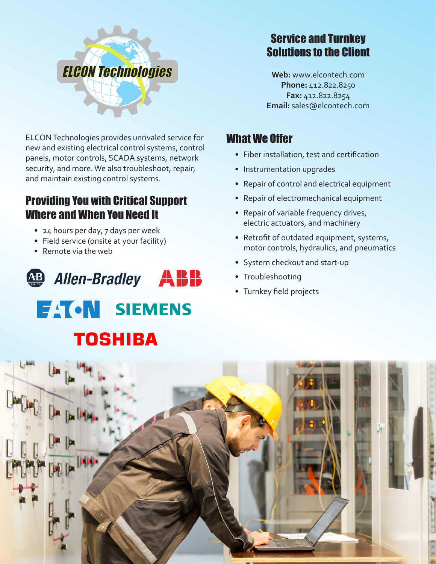

ELCON Technologies provides unrivaled service for new and existing electrical control systems, control panels, motor controls, SCADA systems, network security, and more. We also troubleshoot, repair, and maintain existing control systems. was the industrial markets. We provide the industrial material material material material material material ma and maintain existing control systems. **Mechanical Servicing**

#### Providing You with Critical Support Where and When You Need It **Reporting Project Design**

- 24 hours per day, 7 days per week
	- Field service (onsite at your facility)
	- Remote via the web



# Service and Turnkey Solutions to the Client

**Web:** www.elcontech.com **Phone:** 412.822.8250 **Fax:** 412.822.8254 **Email:** sales@elcontech.com

## What We Offer

- • Fiber installation, test and certification
- Instrumentation upgrades
- Repair of control and electrical equipment
- Repair of electromechanical equipment
- Repair of variable frequency drives, electric actuators, and machinery
- Retrofit of outdated equipment, systems, motor controls, hydraulics, and pneumatics
- System checkout and start-up
- Troubleshooting
- • Turnkey field projects